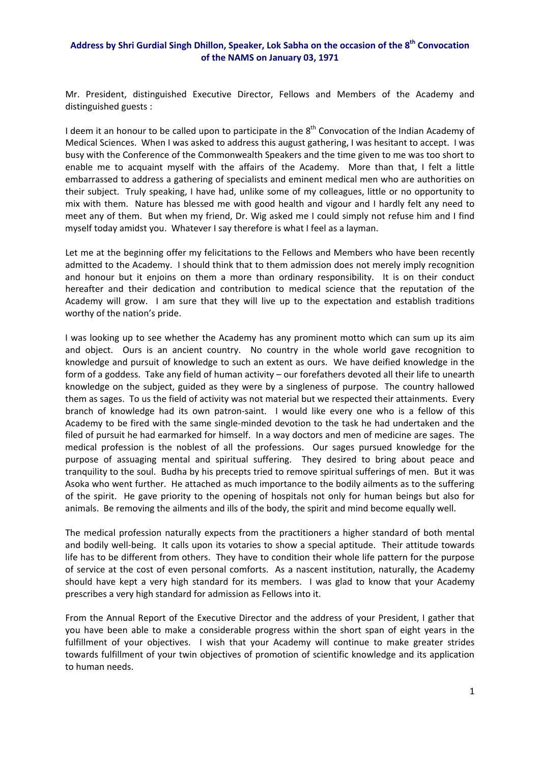## **Address by Shri Gurdial Singh Dhillon, Speaker, Lok Sabha on the occasion of the 8th Convocation of the NAMS on January 03, 1971**

Mr. President, distinguished Executive Director, Fellows and Members of the Academy and distinguished guests :

I deem it an honour to be called upon to participate in the  $8<sup>th</sup>$  Convocation of the Indian Academy of Medical Sciences. When I was asked to address this august gathering, I was hesitant to accept. I was busy with the Conference of the Commonwealth Speakers and the time given to me was too short to enable me to acquaint myself with the affairs of the Academy. More than that, I felt a little embarrassed to address a gathering of specialists and eminent medical men who are authorities on their subject. Truly speaking, I have had, unlike some of my colleagues, little or no opportunity to mix with them. Nature has blessed me with good health and vigour and I hardly felt any need to meet any of them. But when my friend, Dr. Wig asked me I could simply not refuse him and I find myself today amidst you. Whatever I say therefore is what I feel as a layman.

Let me at the beginning offer my felicitations to the Fellows and Members who have been recently admitted to the Academy. I should think that to them admission does not merely imply recognition and honour but it enjoins on them a more than ordinary responsibility. It is on their conduct hereafter and their dedication and contribution to medical science that the reputation of the Academy will grow. I am sure that they will live up to the expectation and establish traditions worthy of the nation's pride.

I was looking up to see whether the Academy has any prominent motto which can sum up its aim and object. Ours is an ancient country. No country in the whole world gave recognition to knowledge and pursuit of knowledge to such an extent as ours. We have deified knowledge in the form of a goddess. Take any field of human activity – our forefathers devoted all their life to unearth knowledge on the subject, guided as they were by a singleness of purpose. The country hallowed them as sages. To us the field of activity was not material but we respected their attainments. Every branch of knowledge had its own patron-saint. I would like every one who is a fellow of this Academy to be fired with the same single‐minded devotion to the task he had undertaken and the filed of pursuit he had earmarked for himself. In a way doctors and men of medicine are sages. The medical profession is the noblest of all the professions. Our sages pursued knowledge for the purpose of assuaging mental and spiritual suffering. They desired to bring about peace and tranquility to the soul. Budha by his precepts tried to remove spiritual sufferings of men. But it was Asoka who went further. He attached as much importance to the bodily ailments as to the suffering of the spirit. He gave priority to the opening of hospitals not only for human beings but also for animals. Be removing the ailments and ills of the body, the spirit and mind become equally well.

The medical profession naturally expects from the practitioners a higher standard of both mental and bodily well-being. It calls upon its votaries to show a special aptitude. Their attitude towards life has to be different from others. They have to condition their whole life pattern for the purpose of service at the cost of even personal comforts. As a nascent institution, naturally, the Academy should have kept a very high standard for its members. I was glad to know that your Academy prescribes a very high standard for admission as Fellows into it.

From the Annual Report of the Executive Director and the address of your President, I gather that you have been able to make a considerable progress within the short span of eight years in the fulfillment of your objectives. I wish that your Academy will continue to make greater strides towards fulfillment of your twin objectives of promotion of scientific knowledge and its application to human needs.